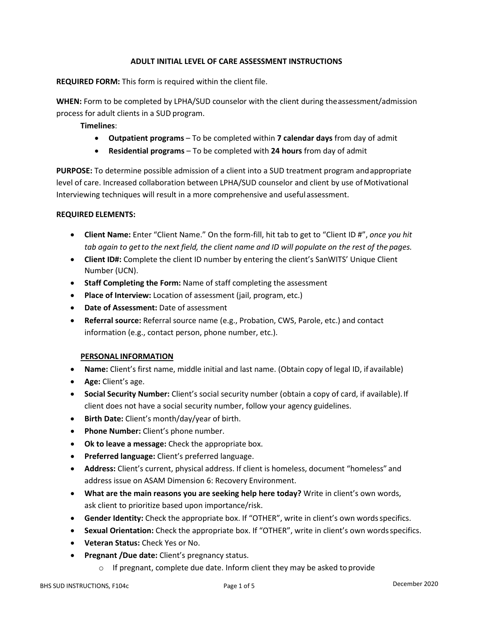# **ADULT INITIAL LEVEL OF CARE ASSESSMENT INSTRUCTIONS**

**REQUIRED FORM:** This form is required within the client file.

**WHEN:** Form to be completed by LPHA/SUD counselor with the client during theassessment/admission process for adult clients in a SUD program.

**Timelines**:

- **Outpatient programs** To be completed within **7 calendar days** from day of admit
- **Residential programs** To be completed with **24 hours** from day of admit

**PURPOSE:** To determine possible admission of a client into a SUD treatment program andappropriate level of care. Increased collaboration between LPHA/SUD counselor and client by use ofMotivational Interviewing techniques will result in a more comprehensive and useful assessment.

## **REQUIRED ELEMENTS:**

- **Client Name:** Enter "Client Name." On the form-fill, hit tab to get to "Client ID #", *once you hit tab again to getto the next field, the client name and ID will populate on the rest of the pages.*
- **Client ID#:** Complete the client ID number by entering the client's SanWITS' Unique Client Number (UCN).
- **Staff Completing the Form:** Name of staff completing the assessment
- **Place of Interview:** Location of assessment (jail, program, etc.)
- **Date of Assessment:** Date of assessment
- **Referral source:** Referral source name (e.g., Probation, CWS, Parole, etc.) and contact information (e.g., contact person, phone number, etc.).

## **PERSONAL INFORMATION**

- **Name:** Client's first name, middle initial and last name. (Obtain copy of legal ID, if available)
- **Age:** Client's age.
- **Social Security Number:** Client's social security number (obtain a copy of card, if available).If client does not have a social security number, follow your agency guidelines.
- **Birth Date:** Client's month/day/year of birth.
- **Phone Number:** Client's phone number.
- **Ok to leave a message:** Check the appropriate box.
- **Preferred language:** Client's preferred language.
- **Address:** Client's current, physical address. If client is homeless, document "homeless" and address issue on ASAM Dimension 6: Recovery Environment.
- **What are the main reasons you are seeking help here today?** Write in client's own words, ask client to prioritize based upon importance/risk.
- **Gender Identity:** Check the appropriate box. If "OTHER", write in client's own wordsspecifics.
- **Sexual Orientation:** Check the appropriate box. If "OTHER", write in client's own wordsspecifics.
- **Veteran Status:** Check Yes or No.
- **Pregnant /Due date:** Client's pregnancy status.
	- o If pregnant, complete due date. Inform client they may be asked toprovide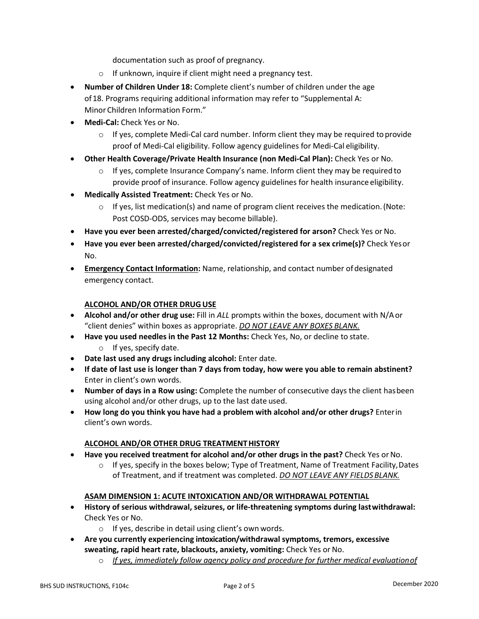documentation such as proof of pregnancy.

- o If unknown, inquire if client might need a pregnancy test.
- **Number of Children Under 18:** Complete client's number of children under the age of18. Programs requiring additional information may refer to "Supplemental A: Minor Children Information Form."
- **Medi-Cal:** Check Yes or No.
	- $\circ$  If yes, complete Medi-Cal card number. Inform client they may be required to provide proof of Medi-Cal eligibility. Follow agency guidelines for Medi-Cal eligibility.
- **Other Health Coverage/Private Health Insurance (non Medi-Cal Plan):** Check Yes or No.
	- $\circ$  If yes, complete Insurance Company's name. Inform client they may be required to provide proof of insurance. Follow agency guidelines for health insurance eligibility.
- **Medically Assisted Treatment:** Check Yes or No.
	- $\circ$  If yes, list medication(s) and name of program client receives the medication. (Note: Post COSD-ODS, services may become billable).
- **Have you ever been arrested/charged/convicted/registered for arson?** Check Yes or No.
- **Have you ever been arrested/charged/convicted/registered for a sex crime(s)?** Check Yesor No.
- **Emergency Contact Information:** Name, relationship, and contact number ofdesignated emergency contact.

## **ALCOHOL AND/OR OTHER DRUG USE**

- **Alcohol and/or other drug use:** Fill in *ALL* prompts within the boxes, document with N/Aor "client denies" within boxes as appropriate. *DO NOT LEAVE ANY BOXES BLANK.*
- **Have you used needles in the Past 12 Months:** Check Yes, No, or decline to state.
	- o If yes, specify date.
- **Date last used any drugs including alcohol:** Enter date.
- **If date of last use is longer than 7 days from today, how were you able to remain abstinent?** Enter in client's own words.
- **Number of days in a Row using:** Complete the number of consecutive days the client hasbeen using alcohol and/or other drugs, up to the last date used.
- **How long do you think you have had a problem with alcohol and/or other drugs?** Enterin client's own words.

## **ALCOHOL AND/OR OTHER DRUG TREATMENTHISTORY**

- **Have you received treatment for alcohol and/or other drugs in the past?** Check Yes orNo.
	- $\circ$  If yes, specify in the boxes below; Type of Treatment, Name of Treatment Facility, Dates of Treatment, and if treatment was completed. *DO NOT LEAVE ANY FIELDSBLANK.*

## **ASAM DIMENSION 1: ACUTE INTOXICATION AND/OR WITHDRAWAL POTENTIAL**

- **History of serious withdrawal, seizures, or life-threatening symptoms during lastwithdrawal:** Check Yes or No.
	- o If yes, describe in detail using client's own words.
- **Are you currently experiencing intoxication/withdrawal symptoms, tremors, excessive sweating, rapid heart rate, blackouts, anxiety, vomiting:** Check Yes or No.
	- o *If yes, immediately follow agency policy and procedure for further medical evaluationof*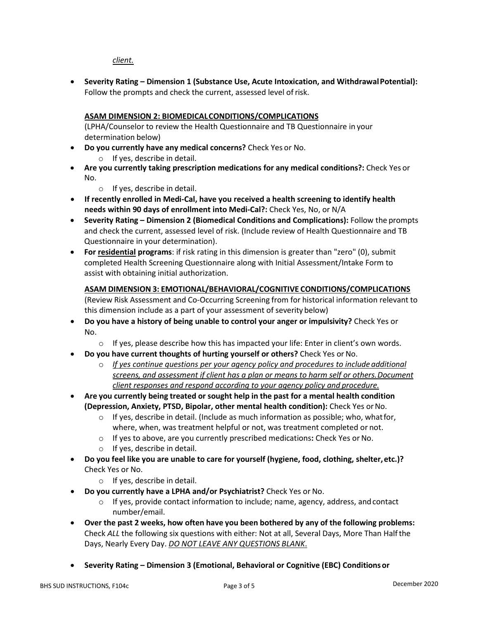# *client.*

• **Severity Rating – Dimension 1 (Substance Use, Acute Intoxication, and WithdrawalPotential):** Follow the prompts and check the current, assessed level of risk.

# **ASAM DIMENSION 2: BIOMEDICALCONDITIONS/COMPLICATIONS**

(LPHA/Counselor to review the Health Questionnaire and TB Questionnaire in your determination below)

- **Do you currently have any medical concerns?** Check Yes or No.
	- o If yes, describe in detail.
- **Are you currently taking prescription medications for any medical conditions?:** Check Yes or No.
	- o If yes, describe in detail.
- **If recently enrolled in Medi-Cal, have you received a health screening to identify health needs within 90 days of enrollment into Medi-Cal?:** Check Yes, No, or N/A
- **Severity Rating – Dimension 2 (Biomedical Conditions and Complications):** Follow the prompts and check the current, assessed level of risk. (Include review of Health Questionnaire and TB Questionnaire in your determination).
- **For residential programs**: if risk rating in this dimension is greater than "zero" (0), submit completed Health Screening Questionnaire along with Initial Assessment/Intake Form to assist with obtaining initial authorization.

## **ASAM DIMENSION 3: EMOTIONAL/BEHAVIORAL/COGNITIVE CONDITIONS/COMPLICATIONS**

(Review Risk Assessment and Co-Occurring Screening from for historical information relevant to this dimension include as a part of your assessment of severity below)

- **Do you have a history of being unable to control your anger or impulsivity?** Check Yes or No.
	- $\circ$  If yes, please describe how this has impacted your life: Enter in client's own words.
- **Do you have current thoughts of hurting yourself or others?** Check Yes orNo.
	- o *If yes continue questions per your agency policy and procedures to include additional screens, and assessment if client has a plan or means to harm self or others.Document client responses and respond according to your agency policy and procedure.*
- **Are you currently being treated or sought help in the past for a mental health condition (Depression, Anxiety, PTSD, Bipolar, other mental health condition):** Check Yes orNo.
	- $\circ$  If yes, describe in detail. (Include as much information as possible; who, what for, where, when, was treatment helpful or not, was treatment completed or not.
	- o If yes to above, are you currently prescribed medications**:** Check Yes or No.
	- o If yes, describe in detail.
- **Do you feel like you are unable to care for yourself (hygiene, food, clothing, shelter,etc.)?** Check Yes or No.
	- o If yes, describe in detail.
- **Do you currently have a LPHA and/or Psychiatrist?** Check Yes or No.
	- $\circ$  If yes, provide contact information to include; name, agency, address, and contact number/email.
- **Over the past 2 weeks, how often have you been bothered by any of the following problems:**  Check *ALL* the following six questions with either: Not at all, Several Days, More Than Halfthe Days, Nearly Every Day. *DO NOT LEAVE ANY QUESTIONS BLANK*.
- **Severity Rating – Dimension 3 (Emotional, Behavioral or Cognitive (EBC) Conditionsor**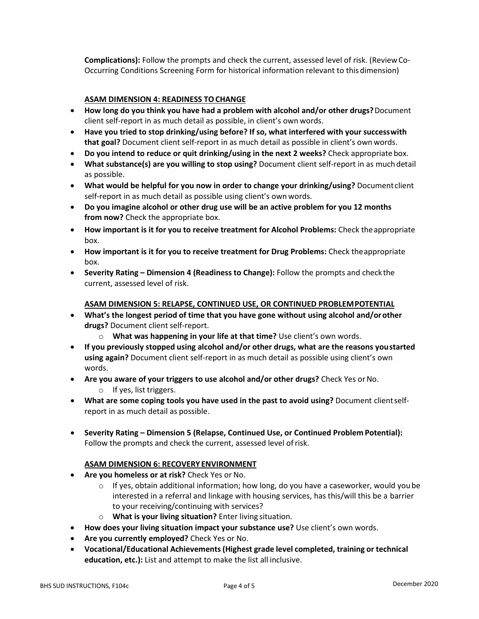**Complications):** Follow the prompts and check the current, assessed level of risk. (ReviewCo-Occurring Conditions Screening Form for historical information relevant to this dimension)

# **ASAM DIMENSION 4: READINESS TOCHANGE**

- **How long do you think you have had a problem with alcohol and/or other drugs?**Document client self-report in as much detail as possible, in client's own words.
- **Have you tried to stop drinking/using before? If so, what interfered with your successwith that goal?** Document client self-report in as much detail as possible in client's own words.
- **Do you intend to reduce or quit drinking/using in the next 2 weeks?** Check appropriate box.
- **What substance(s) are you willing to stop using?** Document client self-report in as muchdetail as possible.
- **What would be helpful for you now in order to change your drinking/using?** Document client self-report in as much detail as possible using client's own words.
- **Do you imagine alcohol or other drug use will be an active problem for you 12 months from now?** Check the appropriate box.
- **How important is it for you to receive treatment for Alcohol Problems:** Check theappropriate box.
- **How important is it for you to receive treatment for Drug Problems:** Check theappropriate box.
- **Severity Rating – Dimension 4 (Readiness to Change):** Follow the prompts and checkthe current, assessed level of risk.

#### **ASAM DIMENSION 5: RELAPSE, CONTINUED USE, OR CONTINUED PROBLEMPOTENTIAL**

- **What's the longest period of time that you have gone without using alcohol and/orother drugs?** Document client self-report.
	- o **What was happening in your life at that time?** Use client's own words.
- **If you previously stopped using alcohol and/or other drugs, what are the reasons youstarted using again?** Document client self-report in as much detail as possible using client's own words.
- **Are you aware of your triggers to use alcohol and/or other drugs?** Check Yes orNo.
	- o If yes, list triggers.
- **What are some coping tools you have used in the past to avoid using?** Document clientselfreport in as much detail as possible.
- **Severity Rating – Dimension 5 (Relapse, Continued Use, or Continued Problem Potential):** Follow the prompts and check the current, assessed level ofrisk.

## **ASAM DIMENSION 6: RECOVERY ENVIRONMENT**

- **Are you homeless or at risk?** Check Yes or No.
	- $\circ$  If yes, obtain additional information; how long, do you have a caseworker, would you be interested in a referral and linkage with housing services, has this/will this be a barrier to your receiving/continuing with services?
	- o **What is your living situation?** Enter living situation.
- **How does your living situation impact your substance use?** Use client's own words.
- **Are you currently employed?** Check Yes or No.
- **Vocational/Educational Achievements(Highest grade level completed, training or technical education, etc.):** List and attempt to make the list all inclusive.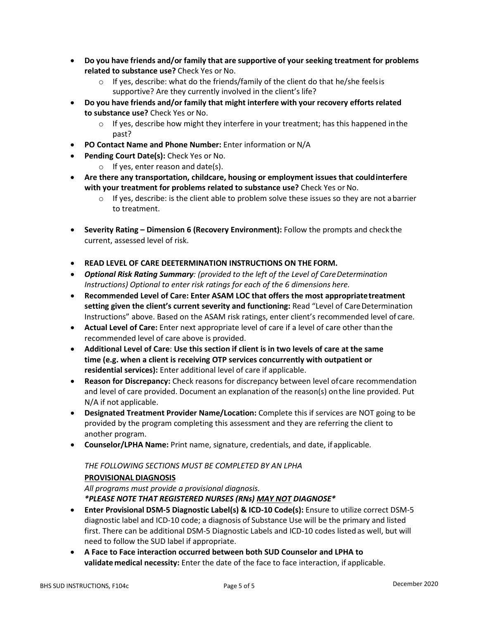- **Do you have friends and/or family that are supportive of your seeking treatment for problems related to substance use?** Check Yes or No.
	- o If yes, describe: what do the friends/family of the client do that he/she feelsis supportive? Are they currently involved in the client's life?
- **Do you have friends and/or family that might interfere with your recovery efforts related to substance use?** Check Yes or No.
	- $\circ$  If yes, describe how might they interfere in your treatment; has this happened in the past?
- **PO Contact Name and Phone Number:** Enter information or N/A
- **Pending Court Date(s):** Check Yes or No.
	- $\circ$  If yes, enter reason and date(s).
- **Are there any transportation, childcare, housing or employment issues that couldinterfere with your treatment for problems related to substance use?** Check Yes or No.
	- $\circ$  If yes, describe: is the client able to problem solve these issues so they are not abarrier to treatment.
- **Severity Rating – Dimension 6 (Recovery Environment):** Follow the prompts and checkthe current, assessed level of risk.
- **READ LEVEL OF CARE DEETERMINATION INSTRUCTIONS ON THE FORM.**
- *Optional Risk Rating Summary: (provided to the left of the Level of CareDetermination Instructions) Optional to enter risk ratings for each of the 6 dimensions here.*
- **Recommended Level of Care: Enter ASAM LOC that offers the most appropriatetreatment setting given the client's current severity and functioning:** Read "Level of CareDetermination Instructions" above. Based on the ASAM risk ratings, enter client's recommended level of care.
- **Actual Level of Care:** Enter next appropriate level of care if a level of care other thanthe recommended level of care above is provided.
- **Additional Level of Care**: **Use this section if client is in two levels of care at the same time (e.g. when a client is receiving OTP services concurrently with outpatient or residential services):** Enter additional level of care if applicable.
- **Reason for Discrepancy:** Check reasons for discrepancy between level ofcare recommendation and level of care provided. Document an explanation of the reason(s) onthe line provided. Put N/A if not applicable.
- **Designated Treatment Provider Name/Location:** Complete this if services are NOT going to be provided by the program completing this assessment and they are referring the client to another program.
- **Counselor/LPHA Name:** Print name, signature, credentials, and date, if applicable.

## *THE FOLLOWING SECTIONS MUST BE COMPLETED BY AN LPHA*

## **PROVISIONAL DIAGNOSIS**

*All programs must provide a provisional diagnosis. \*PLEASE NOTE THAT REGISTERED NURSES (RNs) MAY NOT DIAGNOSE\**

- **Enter Provisional DSM-5 Diagnostic Label(s) & ICD-10 Code(s):** Ensure to utilize correct DSM-5 diagnostic label and ICD-10 code; a diagnosis of Substance Use will be the primary and listed first. There can be additional DSM-5 Diagnostic Labels and ICD-10 codes listedas well, but will need to follow the SUD label if appropriate.
- **A Face to Face interaction occurred between both SUD Counselor and LPHA to validatemedical necessity:** Enter the date of the face to face interaction, if applicable.